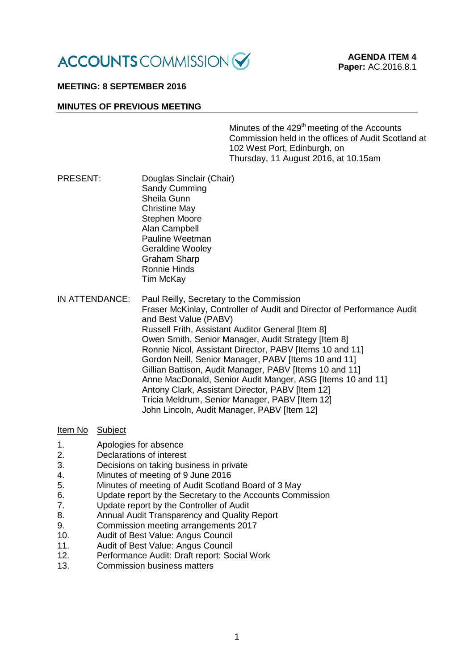

#### **MEETING: 8 SEPTEMBER 2016**

#### **MINUTES OF PREVIOUS MEETING**

Minutes of the 429<sup>th</sup> meeting of the Accounts Commission held in the offices of Audit Scotland at 102 West Port, Edinburgh, on Thursday, 11 August 2016, at 10.15am

- PRESENT: Douglas Sinclair (Chair) Sandy Cumming Sheila Gunn Christine May Stephen Moore Alan Campbell Pauline Weetman Geraldine Wooley Graham Sharp Ronnie Hinds Tim McKay
- IN ATTENDANCE: Paul Reilly, Secretary to the Commission Fraser McKinlay, Controller of Audit and Director of Performance Audit and Best Value (PABV) Russell Frith, Assistant Auditor General [Item 8] Owen Smith, Senior Manager, Audit Strategy [Item 8] Ronnie Nicol, Assistant Director, PABV [Items 10 and 11] Gordon Neill, Senior Manager, PABV [Items 10 and 11] Gillian Battison, Audit Manager, PABV [Items 10 and 11] Anne MacDonald, Senior Audit Manger, ASG Iltems 10 and 111 Antony Clark, Assistant Director, PABV [Item 12] Tricia Meldrum, Senior Manager, PABV [Item 12] John Lincoln, Audit Manager, PABV [Item 12]

### Item No Subject

- 1. Apologies for absence
- 2. Declarations of interest
- 3. Decisions on taking business in private<br>4. Minutes of meeting of 9 June 2016
- 4. Minutes of meeting of 9 June 2016<br>5 Minutes of meeting of Audit Scotlar
- 5. Minutes of meeting of Audit Scotland Board of 3 May<br>6. Clodate report by the Secretary to the Accounts Comr
- Update report by the Secretary to the Accounts Commission
- 7. Update report by the Controller of Audit
- 8. Annual Audit Transparency and Quality Report
- 9. Commission meeting arrangements 2017
- 10. Audit of Best Value: Angus Council
- 11. Audit of Best Value: Angus Council<br>12. Performance Audit: Draft report: So
- 12. Performance Audit: Draft report: Social Work
- 13. Commission business matters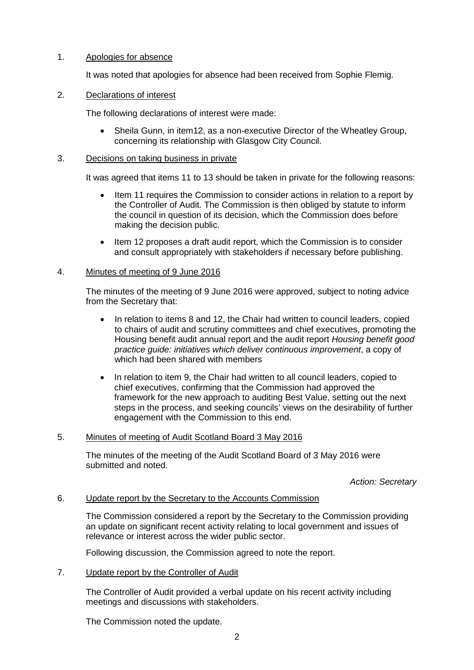# 1. Apologies for absence

It was noted that apologies for absence had been received from Sophie Flemig.

# 2. Declarations of interest

The following declarations of interest were made:

• Sheila Gunn, in item12, as a non-executive Director of the Wheatley Group, concerning its relationship with Glasgow City Council.

### 3. Decisions on taking business in private

It was agreed that items 11 to 13 should be taken in private for the following reasons:

- Item 11 requires the Commission to consider actions in relation to a report by the Controller of Audit. The Commission is then obliged by statute to inform the council in question of its decision, which the Commission does before making the decision public.
- Item 12 proposes a draft audit report, which the Commission is to consider and consult appropriately with stakeholders if necessary before publishing.

# 4. Minutes of meeting of 9 June 2016

The minutes of the meeting of 9 June 2016 were approved, subject to noting advice from the Secretary that:

- In relation to items 8 and 12, the Chair had written to council leaders, copied to chairs of audit and scrutiny committees and chief executives, promoting the Housing benefit audit annual report and the audit report *Housing benefit good practice guide: initiatives which deliver continuous improvement*, a copy of which had been shared with members
- In relation to item 9, the Chair had written to all council leaders, copied to chief executives, confirming that the Commission had approved the framework for the new approach to auditing Best Value, setting out the next steps in the process, and seeking councils' views on the desirability of further engagement with the Commission to this end.

# 5. Minutes of meeting of Audit Scotland Board 3 May 2016

The minutes of the meeting of the Audit Scotland Board of 3 May 2016 were submitted and noted.

*Action: Secretary*

### 6. Update report by the Secretary to the Accounts Commission

The Commission considered a report by the Secretary to the Commission providing an update on significant recent activity relating to local government and issues of relevance or interest across the wider public sector.

Following discussion, the Commission agreed to note the report.

7. Update report by the Controller of Audit

The Controller of Audit provided a verbal update on his recent activity including meetings and discussions with stakeholders.

The Commission noted the update.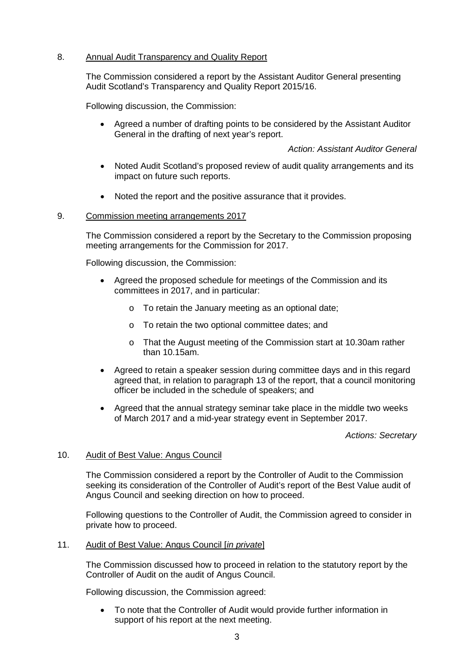### 8. Annual Audit Transparency and Quality Report

The Commission considered a report by the Assistant Auditor General presenting Audit Scotland's Transparency and Quality Report 2015/16.

Following discussion, the Commission:

• Agreed a number of drafting points to be considered by the Assistant Auditor General in the drafting of next year's report.

### *Action: Assistant Auditor General*

- Noted Audit Scotland's proposed review of audit quality arrangements and its impact on future such reports.
- Noted the report and the positive assurance that it provides.

### 9. Commission meeting arrangements 2017

The Commission considered a report by the Secretary to the Commission proposing meeting arrangements for the Commission for 2017.

Following discussion, the Commission:

- Agreed the proposed schedule for meetings of the Commission and its committees in 2017, and in particular:
	- o To retain the January meeting as an optional date;
	- o To retain the two optional committee dates; and
	- o That the August meeting of the Commission start at 10.30am rather than 10.15am.
- Agreed to retain a speaker session during committee days and in this regard agreed that, in relation to paragraph 13 of the report, that a council monitoring officer be included in the schedule of speakers; and
- Agreed that the annual strategy seminar take place in the middle two weeks of March 2017 and a mid-year strategy event in September 2017.

*Actions: Secretary*

#### 10. Audit of Best Value: Angus Council

The Commission considered a report by the Controller of Audit to the Commission seeking its consideration of the Controller of Audit's report of the Best Value audit of Angus Council and seeking direction on how to proceed.

Following questions to the Controller of Audit, the Commission agreed to consider in private how to proceed.

#### 11. Audit of Best Value: Angus Council [*in private*]

The Commission discussed how to proceed in relation to the statutory report by the Controller of Audit on the audit of Angus Council.

Following discussion, the Commission agreed:

• To note that the Controller of Audit would provide further information in support of his report at the next meeting.